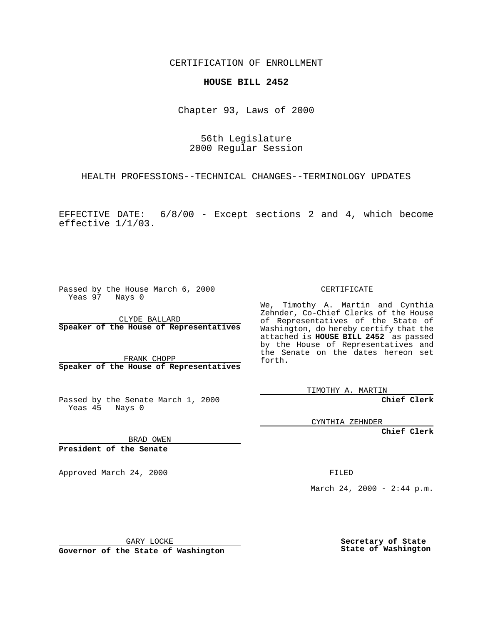CERTIFICATION OF ENROLLMENT

## **HOUSE BILL 2452**

Chapter 93, Laws of 2000

56th Legislature 2000 Regular Session

HEALTH PROFESSIONS--TECHNICAL CHANGES--TERMINOLOGY UPDATES

EFFECTIVE DATE: 6/8/00 - Except sections 2 and 4, which become effective 1/1/03.

Passed by the House March 6, 2000 Yeas 97 Nays 0

CLYDE BALLARD **Speaker of the House of Representatives**

FRANK CHOPP **Speaker of the House of Representatives**

Passed by the Senate March 1, 2000 Yeas 45 Nays 0

CERTIFICATE

We, Timothy A. Martin and Cynthia Zehnder, Co-Chief Clerks of the House of Representatives of the State of Washington, do hereby certify that the attached is **HOUSE BILL 2452** as passed by the House of Representatives and the Senate on the dates hereon set forth.

TIMOTHY A. MARTIN

**Chief Clerk**

CYNTHIA ZEHNDER

**Chief Clerk**

BRAD OWEN

**President of the Senate**

Approved March 24, 2000 FILED

March 24, 2000 - 2:44 p.m.

GARY LOCKE

**Governor of the State of Washington**

**Secretary of State State of Washington**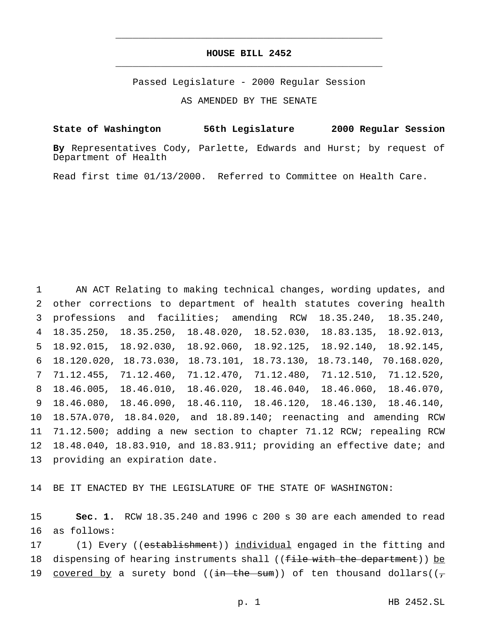## **HOUSE BILL 2452** \_\_\_\_\_\_\_\_\_\_\_\_\_\_\_\_\_\_\_\_\_\_\_\_\_\_\_\_\_\_\_\_\_\_\_\_\_\_\_\_\_\_\_\_\_\_\_

\_\_\_\_\_\_\_\_\_\_\_\_\_\_\_\_\_\_\_\_\_\_\_\_\_\_\_\_\_\_\_\_\_\_\_\_\_\_\_\_\_\_\_\_\_\_\_

Passed Legislature - 2000 Regular Session

AS AMENDED BY THE SENATE

**State of Washington 56th Legislature 2000 Regular Session**

**By** Representatives Cody, Parlette, Edwards and Hurst; by request of Department of Health

Read first time 01/13/2000. Referred to Committee on Health Care.

 AN ACT Relating to making technical changes, wording updates, and other corrections to department of health statutes covering health professions and facilities; amending RCW 18.35.240, 18.35.240, 18.35.250, 18.35.250, 18.48.020, 18.52.030, 18.83.135, 18.92.013, 18.92.015, 18.92.030, 18.92.060, 18.92.125, 18.92.140, 18.92.145, 18.120.020, 18.73.030, 18.73.101, 18.73.130, 18.73.140, 70.168.020, 71.12.455, 71.12.460, 71.12.470, 71.12.480, 71.12.510, 71.12.520, 18.46.005, 18.46.010, 18.46.020, 18.46.040, 18.46.060, 18.46.070, 18.46.080, 18.46.090, 18.46.110, 18.46.120, 18.46.130, 18.46.140, 18.57A.070, 18.84.020, and 18.89.140; reenacting and amending RCW 71.12.500; adding a new section to chapter 71.12 RCW; repealing RCW 18.48.040, 18.83.910, and 18.83.911; providing an effective date; and providing an expiration date.

14 BE IT ENACTED BY THE LEGISLATURE OF THE STATE OF WASHINGTON:

15 **Sec. 1.** RCW 18.35.240 and 1996 c 200 s 30 are each amended to read 16 as follows:

17 (1) Every ((establishment)) individual engaged in the fitting and 18 dispensing of hearing instruments shall ((file with the department)) be 19 covered by a surety bond (( $\frac{1}{1}$  the sum)) of ten thousand dollars(( $\frac{1}{1}$ )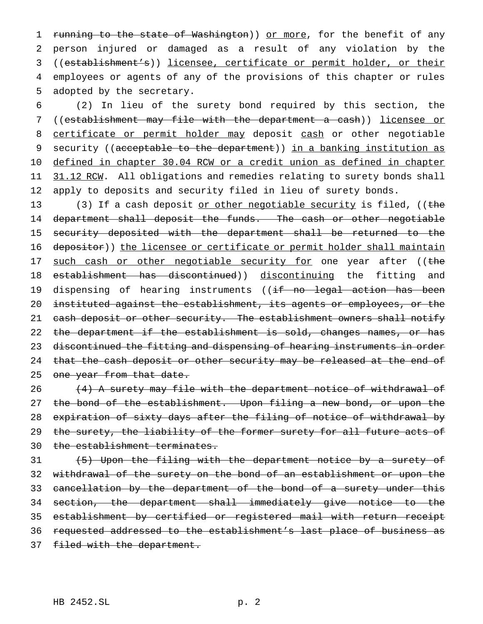1 running to the state of Washington)) or more, for the benefit of any person injured or damaged as a result of any violation by the ((establishment's)) licensee, certificate or permit holder, or their employees or agents of any of the provisions of this chapter or rules adopted by the secretary.

6 (2) In lieu of the surety bond required by this section, the 7 ((establishment may file with the department a cash)) licensee or 8 certificate or permit holder may deposit cash or other negotiable 9 security ((acceptable to the department)) in a banking institution as 10 defined in chapter 30.04 RCW or a credit union as defined in chapter 11 31.12 RCW. All obligations and remedies relating to surety bonds shall 12 apply to deposits and security filed in lieu of surety bonds.

13 (3) If a cash deposit or other negotiable security is filed, ((the 14 department shall deposit the funds. The cash or other negotiable 15 security deposited with the department shall be returned to the 16 depositor)) the licensee or certificate or permit holder shall maintain 17 such cash or other negotiable security for one year after ((the 18 establishment has discontinued)) discontinuing the fitting and 19 dispensing of hearing instruments ((if no legal action has been 20 instituted against the establishment, its agents or employees, or the 21 cash deposit or other security. The establishment owners shall notify 22 the department if the establishment is sold, changes names, or has 23 discontinued the fitting and dispensing of hearing instruments in order 24 that the cash deposit or other security may be released at the end of 25 one year from that date.

26 (4) A surety may file with the department notice of withdrawal of 27 the bond of the establishment. Upon filing a new bond, or upon the 28 expiration of sixty days after the filing of notice of withdrawal by 29 the surety, the liability of the former surety for all future acts of 30 the establishment terminates.

 (5) Upon the filing with the department notice by a surety of withdrawal of the surety on the bond of an establishment or upon the 33 cancellation by the department of the bond of a surety under this section, the department shall immediately give notice to the establishment by certified or registered mail with return receipt requested addressed to the establishment's last place of business as 37 filed with the department.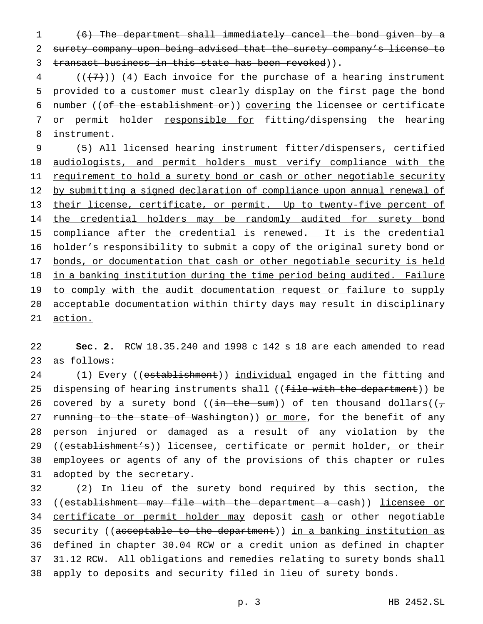1 (6) The department shall immediately cancel the bond given by a 2 surety company upon being advised that the surety company's license to 3 transact business in this state has been revoked)).

 $4$  (( $\left(\frac{1}{2}\right)$ ) (4) Each invoice for the purchase of a hearing instrument 5 provided to a customer must clearly display on the first page the bond 6 number (( $of$  the establishment  $or$ )) covering the licensee or certificate 7 or permit holder responsible for fitting/dispensing the hearing 8 instrument.

9 (5) All licensed hearing instrument fitter/dispensers, certified 10 audiologists, and permit holders must verify compliance with the 11 requirement to hold a surety bond or cash or other negotiable security 12 by submitting a signed declaration of compliance upon annual renewal of 13 their license, certificate, or permit. Up to twenty-five percent of 14 the credential holders may be randomly audited for surety bond 15 compliance after the credential is renewed. It is the credential 16 holder's responsibility to submit a copy of the original surety bond or 17 bonds, or documentation that cash or other negotiable security is held 18 in a banking institution during the time period being audited. Failure 19 to comply with the audit documentation request or failure to supply 20 acceptable documentation within thirty days may result in disciplinary 21 action.

22 **Sec. 2.** RCW 18.35.240 and 1998 c 142 s 18 are each amended to read 23 as follows:

24 (1) Every ((establishment)) individual engaged in the fitting and 25 dispensing of hearing instruments shall ((file with the department)) be 26 covered by a surety bond (( $\frac{1}{1}$  the sum)) of ten thousand dollars(( $\frac{1}{7}$ ) 27 running to the state of Washington)) or more, for the benefit of any 28 person injured or damaged as a result of any violation by the 29 ((establishment's)) licensee, certificate or permit holder, or their 30 employees or agents of any of the provisions of this chapter or rules 31 adopted by the secretary.

32 (2) In lieu of the surety bond required by this section, the 33 ((establishment may file with the department a cash)) licensee or 34 certificate or permit holder may deposit cash or other negotiable 35 security ((acceptable to the department)) in a banking institution as 36 defined in chapter 30.04 RCW or a credit union as defined in chapter 37 31.12 RCW. All obligations and remedies relating to surety bonds shall 38 apply to deposits and security filed in lieu of surety bonds.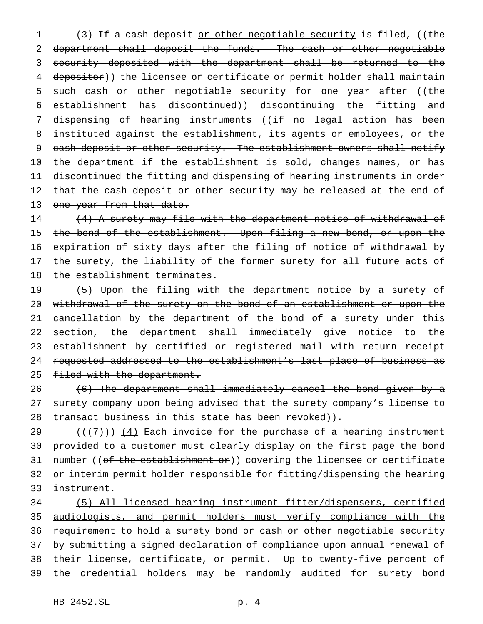1 (3) If a cash deposit or other negotiable security is filed, ((the 2 department shall deposit the funds. The cash or other negotiable 3 security deposited with the department shall be returned to the 4 depositor)) the licensee or certificate or permit holder shall maintain 5 such cash or other negotiable security for one year after ((the 6 establishment has discontinued)) discontinuing the fitting and 7 dispensing of hearing instruments ((if no legal action has been 8 instituted against the establishment, its agents or employees, or the 9 cash deposit or other security. The establishment owners shall notify 10 the department if the establishment is sold, changes names, or has 11 discontinued the fitting and dispensing of hearing instruments in order 12 that the cash deposit or other security may be released at the end of 13 one year from that date.

14 (4) A surety may file with the department notice of withdrawal of 15 the bond of the establishment. Upon filing a new bond, or upon the 16 expiration of sixty days after the filing of notice of withdrawal by 17 the surety, the liability of the former surety for all future acts of 18 the establishment terminates.

19 (5) Upon the filing with the department notice by a surety of 20 withdrawal of the surety on the bond of an establishment or upon the 21 cancellation by the department of the bond of a surety under this 22 section, the department shall immediately give notice to the 23 establishment by certified or registered mail with return receipt 24 requested addressed to the establishment's last place of business as 25 filed with the department.

 $26$  (6) The department shall immediately cancel the bond given by a 27 surety company upon being advised that the surety company's license to 28 transact business in this state has been revoked)).

29 ( $(\overline{+7})$ )  $(4)$  Each invoice for the purchase of a hearing instrument 30 provided to a customer must clearly display on the first page the bond 31 number ((of the establishment or)) covering the licensee or certificate 32 or interim permit holder responsible for fitting/dispensing the hearing 33 instrument.

 (5) All licensed hearing instrument fitter/dispensers, certified audiologists, and permit holders must verify compliance with the 36 requirement to hold a surety bond or cash or other negotiable security by submitting a signed declaration of compliance upon annual renewal of their license, certificate, or permit. Up to twenty-five percent of 39 the credential holders may be randomly audited for surety bond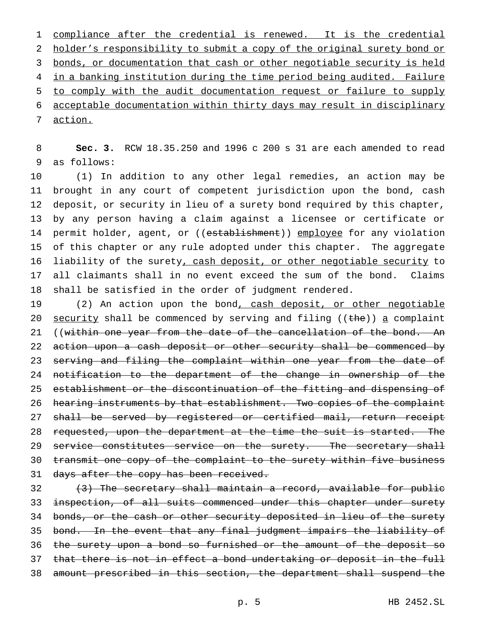1 compliance after the credential is renewed. It is the credential 2 holder's responsibility to submit a copy of the original surety bond or 3 bonds, or documentation that cash or other negotiable security is held 4 in a banking institution during the time period being audited. Failure 5 to comply with the audit documentation request or failure to supply 6 acceptable documentation within thirty days may result in disciplinary 7 action.

8 **Sec. 3.** RCW 18.35.250 and 1996 c 200 s 31 are each amended to read 9 as follows:

 (1) In addition to any other legal remedies, an action may be brought in any court of competent jurisdiction upon the bond, cash deposit, or security in lieu of a surety bond required by this chapter, by any person having a claim against a licensee or certificate or 14 permit holder, agent, or ((establishment)) employee for any violation of this chapter or any rule adopted under this chapter. The aggregate 16 liability of the surety, cash deposit, or other negotiable security to all claimants shall in no event exceed the sum of the bond. Claims shall be satisfied in the order of judgment rendered.

19 (2) An action upon the bond, cash deposit, or other negotiable 20 security shall be commenced by serving and filing (( $the$ )) a complaint 21 ((within one year from the date of the cancellation of the bond. An 22 action upon a cash deposit or other security shall be commenced by 23 serving and filing the complaint within one year from the date of 24 notification to the department of the change in ownership of the 25 establishment or the discontinuation of the fitting and dispensing of 26 hearing instruments by that establishment. Two copies of the complaint 27 shall be served by registered or certified mail, return receipt 28 requested, upon the department at the time the suit is started. The 29 service constitutes service on the surety. The secretary shall 30 transmit one copy of the complaint to the surety within five business 31 days after the copy has been received.

 $32$  (3) The secretary shall maintain a record, available for public 33 inspection, of all suits commenced under this chapter under surety 34 bonds, or the cash or other security deposited in lieu of the surety 35 bond. In the event that any final judgment impairs the liability of 36 the surety upon a bond so furnished or the amount of the deposit so 37 that there is not in effect a bond undertaking or deposit in the full 38 amount prescribed in this section, the department shall suspend the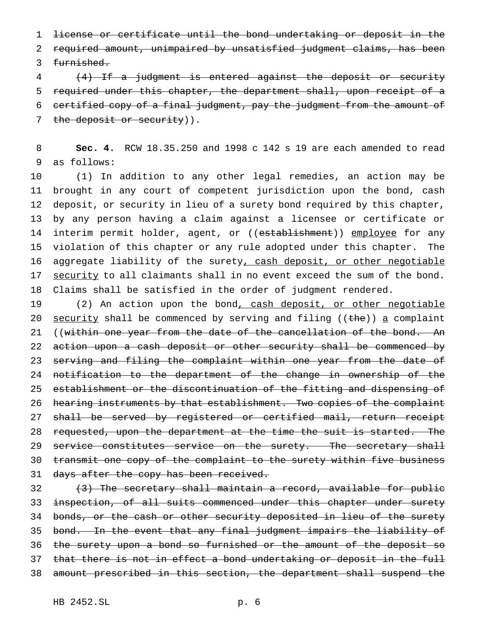1 license or certificate until the bond undertaking or deposit in the 2 required amount, unimpaired by unsatisfied judgment claims, has been 3 furnished.

 (4) If a judgment is entered against the deposit or security required under this chapter, the department shall, upon receipt of a certified copy of a final judgment, pay the judgment from the amount of 7 the deposit or security)).

8 **Sec. 4.** RCW 18.35.250 and 1998 c 142 s 19 are each amended to read 9 as follows:

 (1) In addition to any other legal remedies, an action may be brought in any court of competent jurisdiction upon the bond, cash deposit, or security in lieu of a surety bond required by this chapter, by any person having a claim against a licensee or certificate or 14 interim permit holder, agent, or ((establishment)) employee for any violation of this chapter or any rule adopted under this chapter. The 16 aggregate liability of the surety, cash deposit, or other negotiable 17 security to all claimants shall in no event exceed the sum of the bond. Claims shall be satisfied in the order of judgment rendered.

19 (2) An action upon the bond, cash deposit, or other negotiable 20 security shall be commenced by serving and filing (( $the$ )) a complaint 21 ((within one year from the date of the cancellation of the bond. An 22 action upon a cash deposit or other security shall be commenced by 23 serving and filing the complaint within one year from the date of 24 notification to the department of the change in ownership of the 25 establishment or the discontinuation of the fitting and dispensing of 26 hearing instruments by that establishment. Two copies of the complaint 27 shall be served by registered or certified mail, return receipt 28 requested, upon the department at the time the suit is started. The 29 service constitutes service on the surety. The secretary shall 30 transmit one copy of the complaint to the surety within five business 31 days after the copy has been received.

 $32$  (3) The secretary shall maintain a record, available for public 33 inspection, of all suits commenced under this chapter under surety 34 bonds, or the cash or other security deposited in lieu of the surety 35 bond. In the event that any final judgment impairs the liability of 36 the surety upon a bond so furnished or the amount of the deposit so 37 that there is not in effect a bond undertaking or deposit in the full 38 amount prescribed in this section, the department shall suspend the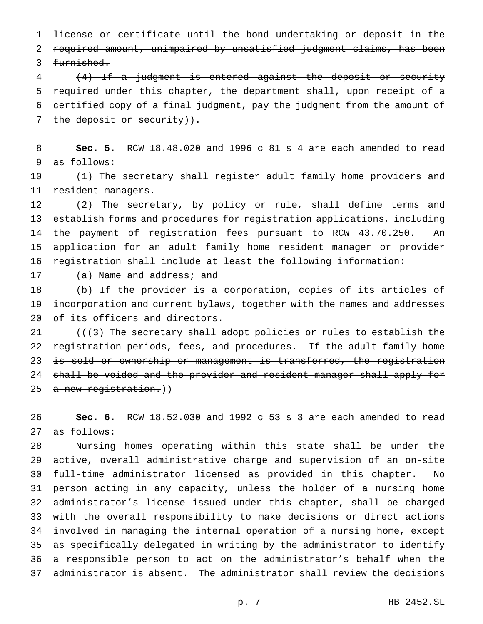license or certificate until the bond undertaking or deposit in the required amount, unimpaired by unsatisfied judgment claims, has been furnished.

 (4) If a judgment is entered against the deposit or security required under this chapter, the department shall, upon receipt of a certified copy of a final judgment, pay the judgment from the amount of 7 the deposit or security)).

 **Sec. 5.** RCW 18.48.020 and 1996 c 81 s 4 are each amended to read as follows:

 (1) The secretary shall register adult family home providers and resident managers.

 (2) The secretary, by policy or rule, shall define terms and establish forms and procedures for registration applications, including the payment of registration fees pursuant to RCW 43.70.250. An application for an adult family home resident manager or provider registration shall include at least the following information:

## (a) Name and address; and

 (b) If the provider is a corporation, copies of its articles of incorporation and current bylaws, together with the names and addresses of its officers and directors.

 $((3)$  The secretary shall adopt policies or rules to establish the 22 registration periods, fees, and procedures. If the adult family home 23 is sold or ownership or management is transferred, the registration 24 shall be voided and the provider and resident manager shall apply for 25 a new registration.))

 **Sec. 6.** RCW 18.52.030 and 1992 c 53 s 3 are each amended to read as follows:

 Nursing homes operating within this state shall be under the active, overall administrative charge and supervision of an on-site full-time administrator licensed as provided in this chapter. No person acting in any capacity, unless the holder of a nursing home administrator's license issued under this chapter, shall be charged with the overall responsibility to make decisions or direct actions involved in managing the internal operation of a nursing home, except as specifically delegated in writing by the administrator to identify a responsible person to act on the administrator's behalf when the administrator is absent. The administrator shall review the decisions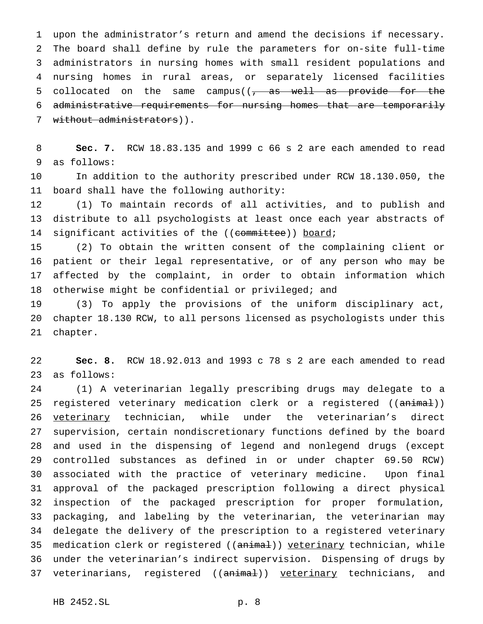upon the administrator's return and amend the decisions if necessary. The board shall define by rule the parameters for on-site full-time administrators in nursing homes with small resident populations and nursing homes in rural areas, or separately licensed facilities 5 collocated on the same campus( $\sqrt{7}$  as well as provide for the 6 administrative requirements for nursing homes that are temporarily 7 without administrators)).

 **Sec. 7.** RCW 18.83.135 and 1999 c 66 s 2 are each amended to read as follows:

 In addition to the authority prescribed under RCW 18.130.050, the board shall have the following authority:

 (1) To maintain records of all activities, and to publish and distribute to all psychologists at least once each year abstracts of 14 significant activities of the ((committee)) board;

 (2) To obtain the written consent of the complaining client or patient or their legal representative, or of any person who may be affected by the complaint, in order to obtain information which otherwise might be confidential or privileged; and

 (3) To apply the provisions of the uniform disciplinary act, chapter 18.130 RCW, to all persons licensed as psychologists under this chapter.

 **Sec. 8.** RCW 18.92.013 and 1993 c 78 s 2 are each amended to read as follows:

 (1) A veterinarian legally prescribing drugs may delegate to a 25 registered veterinary medication clerk or a registered ((animal)) veterinary technician, while under the veterinarian's direct supervision, certain nondiscretionary functions defined by the board and used in the dispensing of legend and nonlegend drugs (except controlled substances as defined in or under chapter 69.50 RCW) associated with the practice of veterinary medicine. Upon final approval of the packaged prescription following a direct physical inspection of the packaged prescription for proper formulation, packaging, and labeling by the veterinarian, the veterinarian may delegate the delivery of the prescription to a registered veterinary 35 medication clerk or registered ((animal)) veterinary technician, while under the veterinarian's indirect supervision. Dispensing of drugs by 37 veterinarians, registered ((animal)) veterinary technicians, and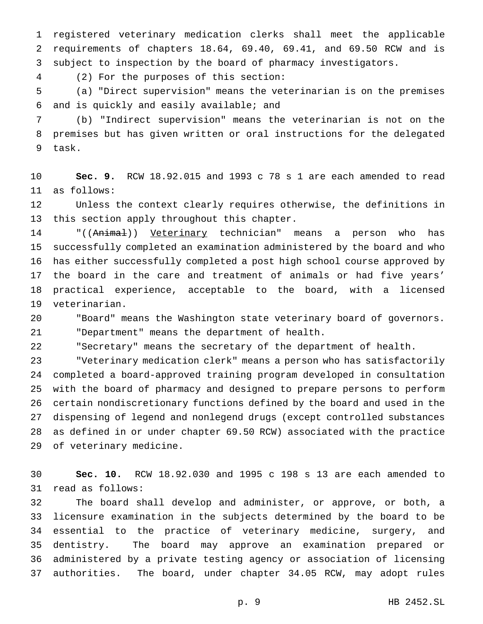registered veterinary medication clerks shall meet the applicable requirements of chapters 18.64, 69.40, 69.41, and 69.50 RCW and is subject to inspection by the board of pharmacy investigators.

(2) For the purposes of this section:

 (a) "Direct supervision" means the veterinarian is on the premises and is quickly and easily available; and

 (b) "Indirect supervision" means the veterinarian is not on the premises but has given written or oral instructions for the delegated task.

 **Sec. 9.** RCW 18.92.015 and 1993 c 78 s 1 are each amended to read as follows:

 Unless the context clearly requires otherwise, the definitions in this section apply throughout this chapter.

14 "((Animal)) Veterinary technician" means a person who has successfully completed an examination administered by the board and who has either successfully completed a post high school course approved by the board in the care and treatment of animals or had five years' practical experience, acceptable to the board, with a licensed veterinarian.

 "Board" means the Washington state veterinary board of governors. "Department" means the department of health.

"Secretary" means the secretary of the department of health.

 "Veterinary medication clerk" means a person who has satisfactorily completed a board-approved training program developed in consultation with the board of pharmacy and designed to prepare persons to perform certain nondiscretionary functions defined by the board and used in the dispensing of legend and nonlegend drugs (except controlled substances as defined in or under chapter 69.50 RCW) associated with the practice of veterinary medicine.

 **Sec. 10.** RCW 18.92.030 and 1995 c 198 s 13 are each amended to read as follows:

 The board shall develop and administer, or approve, or both, a licensure examination in the subjects determined by the board to be essential to the practice of veterinary medicine, surgery, and dentistry. The board may approve an examination prepared or administered by a private testing agency or association of licensing authorities. The board, under chapter 34.05 RCW, may adopt rules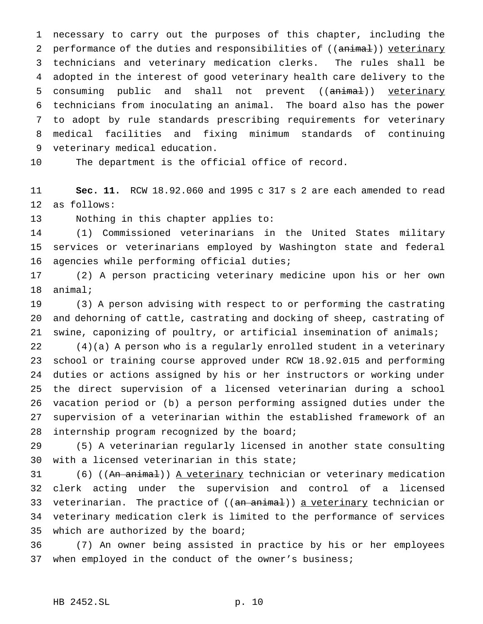necessary to carry out the purposes of this chapter, including the 2 performance of the duties and responsibilities of ((animal)) veterinary technicians and veterinary medication clerks. The rules shall be adopted in the interest of good veterinary health care delivery to the 5 consuming public and shall not prevent ((animal)) veterinary technicians from inoculating an animal. The board also has the power to adopt by rule standards prescribing requirements for veterinary medical facilities and fixing minimum standards of continuing veterinary medical education.

The department is the official office of record.

 **Sec. 11.** RCW 18.92.060 and 1995 c 317 s 2 are each amended to read as follows:

Nothing in this chapter applies to:

 (1) Commissioned veterinarians in the United States military services or veterinarians employed by Washington state and federal agencies while performing official duties;

 (2) A person practicing veterinary medicine upon his or her own animal;

 (3) A person advising with respect to or performing the castrating and dehorning of cattle, castrating and docking of sheep, castrating of swine, caponizing of poultry, or artificial insemination of animals;

 (4)(a) A person who is a regularly enrolled student in a veterinary school or training course approved under RCW 18.92.015 and performing duties or actions assigned by his or her instructors or working under the direct supervision of a licensed veterinarian during a school vacation period or (b) a person performing assigned duties under the supervision of a veterinarian within the established framework of an internship program recognized by the board;

 (5) A veterinarian regularly licensed in another state consulting with a licensed veterinarian in this state;

31 (6) ((An animal)) A veterinary technician or veterinary medication clerk acting under the supervision and control of a licensed 33 veterinarian. The practice of ((an animal)) a veterinary technician or veterinary medication clerk is limited to the performance of services which are authorized by the board;

 (7) An owner being assisted in practice by his or her employees when employed in the conduct of the owner's business;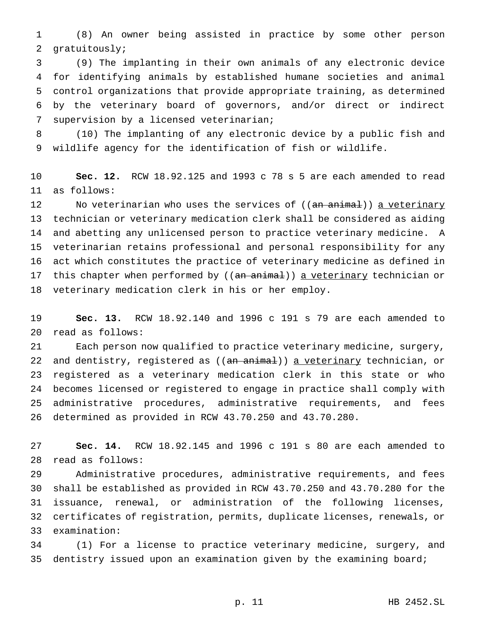(8) An owner being assisted in practice by some other person gratuitously;

 (9) The implanting in their own animals of any electronic device for identifying animals by established humane societies and animal control organizations that provide appropriate training, as determined by the veterinary board of governors, and/or direct or indirect supervision by a licensed veterinarian;

 (10) The implanting of any electronic device by a public fish and wildlife agency for the identification of fish or wildlife.

 **Sec. 12.** RCW 18.92.125 and 1993 c 78 s 5 are each amended to read as follows:

12 No veterinarian who uses the services of ((an animal)) a veterinary technician or veterinary medication clerk shall be considered as aiding and abetting any unlicensed person to practice veterinary medicine. A veterinarian retains professional and personal responsibility for any act which constitutes the practice of veterinary medicine as defined in 17 this chapter when performed by ((an animal)) a veterinary technician or veterinary medication clerk in his or her employ.

 **Sec. 13.** RCW 18.92.140 and 1996 c 191 s 79 are each amended to read as follows:

 Each person now qualified to practice veterinary medicine, surgery, 22 and dentistry, registered as ((an animal)) a veterinary technician, or registered as a veterinary medication clerk in this state or who becomes licensed or registered to engage in practice shall comply with administrative procedures, administrative requirements, and fees determined as provided in RCW 43.70.250 and 43.70.280.

 **Sec. 14.** RCW 18.92.145 and 1996 c 191 s 80 are each amended to read as follows:

 Administrative procedures, administrative requirements, and fees shall be established as provided in RCW 43.70.250 and 43.70.280 for the issuance, renewal, or administration of the following licenses, certificates of registration, permits, duplicate licenses, renewals, or examination:

 (1) For a license to practice veterinary medicine, surgery, and dentistry issued upon an examination given by the examining board;

p. 11 HB 2452.SL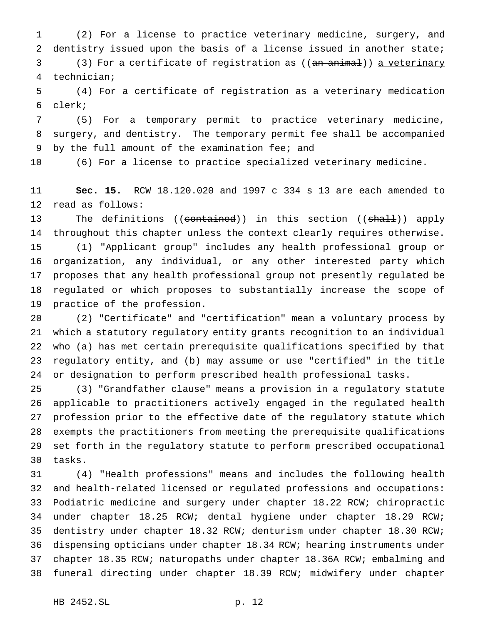(2) For a license to practice veterinary medicine, surgery, and dentistry issued upon the basis of a license issued in another state;

3 (3) For a certificate of registration as ((an animal)) a veterinary technician;

 (4) For a certificate of registration as a veterinary medication clerk;

 (5) For a temporary permit to practice veterinary medicine, surgery, and dentistry. The temporary permit fee shall be accompanied by the full amount of the examination fee; and

(6) For a license to practice specialized veterinary medicine.

 **Sec. 15.** RCW 18.120.020 and 1997 c 334 s 13 are each amended to read as follows:

13 The definitions ((contained)) in this section ((shall)) apply throughout this chapter unless the context clearly requires otherwise. (1) "Applicant group" includes any health professional group or organization, any individual, or any other interested party which proposes that any health professional group not presently regulated be regulated or which proposes to substantially increase the scope of practice of the profession.

 (2) "Certificate" and "certification" mean a voluntary process by which a statutory regulatory entity grants recognition to an individual who (a) has met certain prerequisite qualifications specified by that regulatory entity, and (b) may assume or use "certified" in the title or designation to perform prescribed health professional tasks.

 (3) "Grandfather clause" means a provision in a regulatory statute applicable to practitioners actively engaged in the regulated health profession prior to the effective date of the regulatory statute which exempts the practitioners from meeting the prerequisite qualifications set forth in the regulatory statute to perform prescribed occupational tasks.

 (4) "Health professions" means and includes the following health and health-related licensed or regulated professions and occupations: Podiatric medicine and surgery under chapter 18.22 RCW; chiropractic under chapter 18.25 RCW; dental hygiene under chapter 18.29 RCW; dentistry under chapter 18.32 RCW; denturism under chapter 18.30 RCW; dispensing opticians under chapter 18.34 RCW; hearing instruments under chapter 18.35 RCW; naturopaths under chapter 18.36A RCW; embalming and funeral directing under chapter 18.39 RCW; midwifery under chapter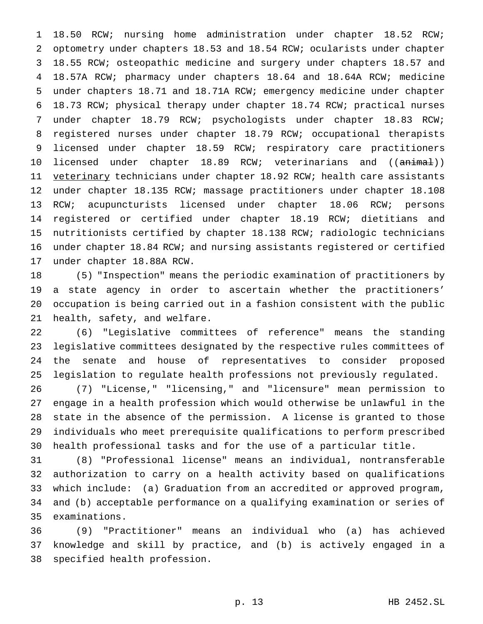18.50 RCW; nursing home administration under chapter 18.52 RCW; optometry under chapters 18.53 and 18.54 RCW; ocularists under chapter 18.55 RCW; osteopathic medicine and surgery under chapters 18.57 and 18.57A RCW; pharmacy under chapters 18.64 and 18.64A RCW; medicine under chapters 18.71 and 18.71A RCW; emergency medicine under chapter 18.73 RCW; physical therapy under chapter 18.74 RCW; practical nurses under chapter 18.79 RCW; psychologists under chapter 18.83 RCW; registered nurses under chapter 18.79 RCW; occupational therapists licensed under chapter 18.59 RCW; respiratory care practitioners 10 licensed under chapter 18.89 RCW; veterinarians and ((animal)) 11 veterinary technicians under chapter 18.92 RCW; health care assistants under chapter 18.135 RCW; massage practitioners under chapter 18.108 RCW; acupuncturists licensed under chapter 18.06 RCW; persons registered or certified under chapter 18.19 RCW; dietitians and nutritionists certified by chapter 18.138 RCW; radiologic technicians under chapter 18.84 RCW; and nursing assistants registered or certified under chapter 18.88A RCW.

 (5) "Inspection" means the periodic examination of practitioners by a state agency in order to ascertain whether the practitioners' occupation is being carried out in a fashion consistent with the public health, safety, and welfare.

 (6) "Legislative committees of reference" means the standing legislative committees designated by the respective rules committees of the senate and house of representatives to consider proposed legislation to regulate health professions not previously regulated.

 (7) "License," "licensing," and "licensure" mean permission to engage in a health profession which would otherwise be unlawful in the state in the absence of the permission. A license is granted to those individuals who meet prerequisite qualifications to perform prescribed health professional tasks and for the use of a particular title.

 (8) "Professional license" means an individual, nontransferable authorization to carry on a health activity based on qualifications which include: (a) Graduation from an accredited or approved program, and (b) acceptable performance on a qualifying examination or series of examinations.

 (9) "Practitioner" means an individual who (a) has achieved knowledge and skill by practice, and (b) is actively engaged in a specified health profession.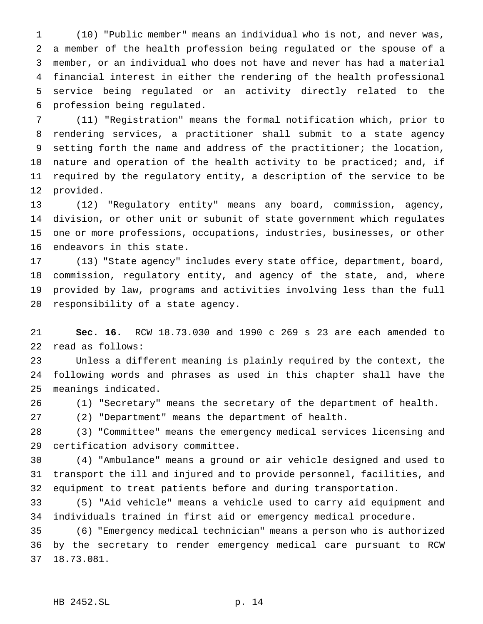(10) "Public member" means an individual who is not, and never was, a member of the health profession being regulated or the spouse of a member, or an individual who does not have and never has had a material financial interest in either the rendering of the health professional service being regulated or an activity directly related to the profession being regulated.

 (11) "Registration" means the formal notification which, prior to rendering services, a practitioner shall submit to a state agency setting forth the name and address of the practitioner; the location, nature and operation of the health activity to be practiced; and, if required by the regulatory entity, a description of the service to be provided.

 (12) "Regulatory entity" means any board, commission, agency, division, or other unit or subunit of state government which regulates one or more professions, occupations, industries, businesses, or other endeavors in this state.

 (13) "State agency" includes every state office, department, board, commission, regulatory entity, and agency of the state, and, where provided by law, programs and activities involving less than the full responsibility of a state agency.

 **Sec. 16.** RCW 18.73.030 and 1990 c 269 s 23 are each amended to read as follows:

 Unless a different meaning is plainly required by the context, the following words and phrases as used in this chapter shall have the meanings indicated.

(1) "Secretary" means the secretary of the department of health.

(2) "Department" means the department of health.

 (3) "Committee" means the emergency medical services licensing and certification advisory committee.

 (4) "Ambulance" means a ground or air vehicle designed and used to transport the ill and injured and to provide personnel, facilities, and equipment to treat patients before and during transportation.

 (5) "Aid vehicle" means a vehicle used to carry aid equipment and individuals trained in first aid or emergency medical procedure.

 (6) "Emergency medical technician" means a person who is authorized by the secretary to render emergency medical care pursuant to RCW 18.73.081.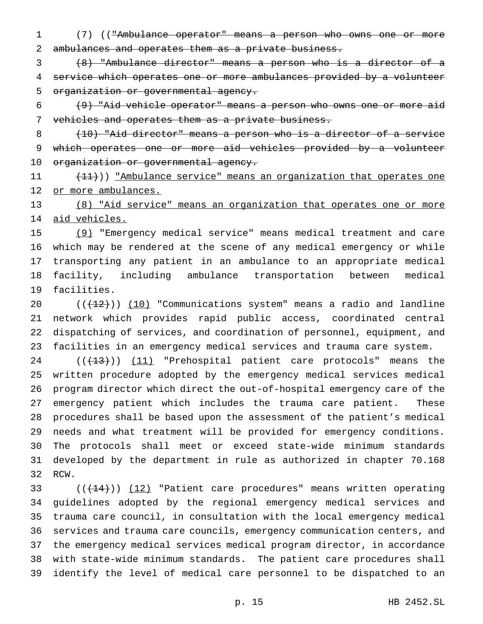(7) (("Ambulance operator" means a person who owns one or more ambulances and operates them as a private business.

 (8) "Ambulance director" means a person who is a director of a service which operates one or more ambulances provided by a volunteer organization or governmental agency.

 (9) "Aid vehicle operator" means a person who owns one or more aid vehicles and operates them as a private business.

 (10) "Aid director" means a person who is a director of a service which operates one or more aid vehicles provided by a volunteer organization or governmental agency.

11 (11)) <u>"Ambulance service" means an organization that operates one</u> 12 or more ambulances.

 (8) "Aid service" means an organization that operates one or more aid vehicles.

 (9) "Emergency medical service" means medical treatment and care which may be rendered at the scene of any medical emergency or while transporting any patient in an ambulance to an appropriate medical facility, including ambulance transportation between medical facilities.

 $((+12))$   $(10)$  "Communications system" means a radio and landline network which provides rapid public access, coordinated central dispatching of services, and coordination of personnel, equipment, and facilities in an emergency medical services and trauma care system.

24 ((<del>(13)</del>)) (11) "Prehospital patient care protocols" means the written procedure adopted by the emergency medical services medical program director which direct the out-of-hospital emergency care of the emergency patient which includes the trauma care patient. These procedures shall be based upon the assessment of the patient's medical needs and what treatment will be provided for emergency conditions. The protocols shall meet or exceed state-wide minimum standards developed by the department in rule as authorized in chapter 70.168 RCW.

 $((+14))$   $(12)$  "Patient care procedures" means written operating guidelines adopted by the regional emergency medical services and trauma care council, in consultation with the local emergency medical services and trauma care councils, emergency communication centers, and the emergency medical services medical program director, in accordance with state-wide minimum standards. The patient care procedures shall identify the level of medical care personnel to be dispatched to an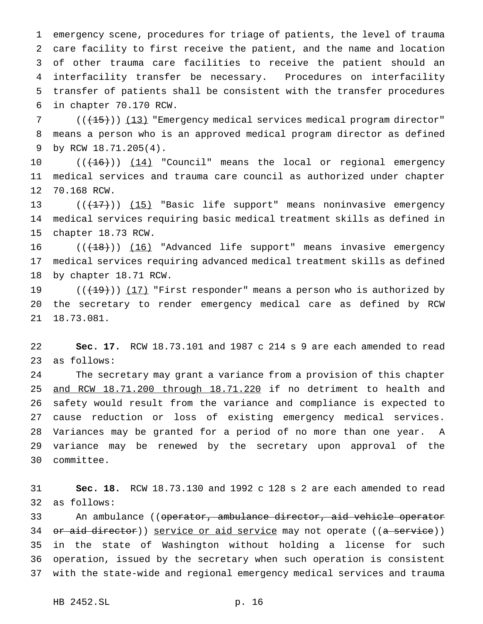emergency scene, procedures for triage of patients, the level of trauma care facility to first receive the patient, and the name and location of other trauma care facilities to receive the patient should an interfacility transfer be necessary. Procedures on interfacility transfer of patients shall be consistent with the transfer procedures in chapter 70.170 RCW.

7 (( $(15)$ )) (13) "Emergency medical services medical program director" means a person who is an approved medical program director as defined by RCW 18.71.205(4).

10 ((<del>(16)</del>)) <u>(14)</u> "Council" means the local or regional emergency medical services and trauma care council as authorized under chapter 70.168 RCW.

13  $((+17))$   $(15)$  "Basic life support" means noninvasive emergency medical services requiring basic medical treatment skills as defined in chapter 18.73 RCW.

16 (( $(18)$ )) (16) "Advanced life support" means invasive emergency medical services requiring advanced medical treatment skills as defined by chapter 18.71 RCW.

19  $((+19))$   $(17)$  "First responder" means a person who is authorized by the secretary to render emergency medical care as defined by RCW 18.73.081.

 **Sec. 17.** RCW 18.73.101 and 1987 c 214 s 9 are each amended to read as follows:

 The secretary may grant a variance from a provision of this chapter 25 and RCW 18.71.200 through 18.71.220 if no detriment to health and safety would result from the variance and compliance is expected to cause reduction or loss of existing emergency medical services. Variances may be granted for a period of no more than one year. A variance may be renewed by the secretary upon approval of the committee.

 **Sec. 18.** RCW 18.73.130 and 1992 c 128 s 2 are each amended to read as follows:

33 An ambulance ((<del>operator, ambulance director, aid vehicle operator</del> 34 or aid director)) service or aid service may not operate ((a service)) in the state of Washington without holding a license for such operation, issued by the secretary when such operation is consistent with the state-wide and regional emergency medical services and trauma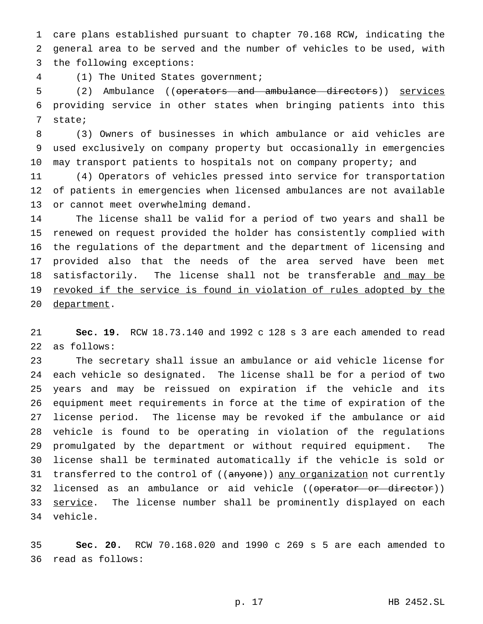care plans established pursuant to chapter 70.168 RCW, indicating the general area to be served and the number of vehicles to be used, with the following exceptions:

(1) The United States government;

 (2) Ambulance ((operators and ambulance directors)) services providing service in other states when bringing patients into this state;

 (3) Owners of businesses in which ambulance or aid vehicles are used exclusively on company property but occasionally in emergencies may transport patients to hospitals not on company property; and

 (4) Operators of vehicles pressed into service for transportation of patients in emergencies when licensed ambulances are not available or cannot meet overwhelming demand.

 The license shall be valid for a period of two years and shall be renewed on request provided the holder has consistently complied with the regulations of the department and the department of licensing and provided also that the needs of the area served have been met 18 satisfactorily. The license shall not be transferable and may be 19 revoked if the service is found in violation of rules adopted by the department.

 **Sec. 19.** RCW 18.73.140 and 1992 c 128 s 3 are each amended to read as follows:

 The secretary shall issue an ambulance or aid vehicle license for each vehicle so designated. The license shall be for a period of two years and may be reissued on expiration if the vehicle and its equipment meet requirements in force at the time of expiration of the license period. The license may be revoked if the ambulance or aid vehicle is found to be operating in violation of the regulations promulgated by the department or without required equipment. The license shall be terminated automatically if the vehicle is sold or 31 transferred to the control of ((anyone)) any organization not currently 32 licensed as an ambulance or aid vehicle ((<del>operator or director</del>)) 33 service. The license number shall be prominently displayed on each vehicle.

 **Sec. 20.** RCW 70.168.020 and 1990 c 269 s 5 are each amended to read as follows: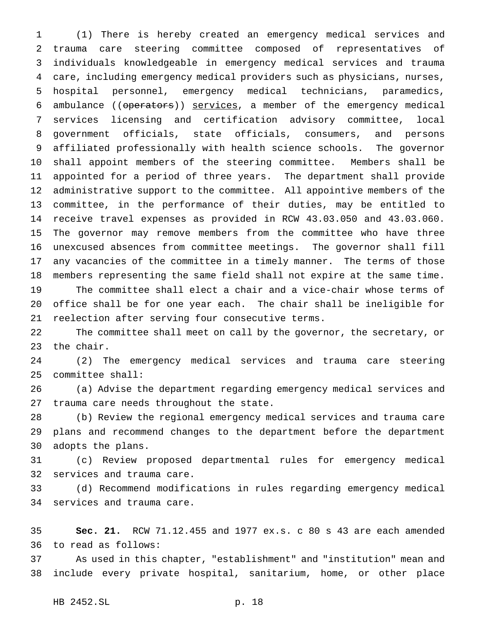(1) There is hereby created an emergency medical services and trauma care steering committee composed of representatives of individuals knowledgeable in emergency medical services and trauma care, including emergency medical providers such as physicians, nurses, hospital personnel, emergency medical technicians, paramedics, 6 ambulance ((operators)) services, a member of the emergency medical services licensing and certification advisory committee, local government officials, state officials, consumers, and persons affiliated professionally with health science schools. The governor shall appoint members of the steering committee. Members shall be appointed for a period of three years. The department shall provide administrative support to the committee. All appointive members of the committee, in the performance of their duties, may be entitled to receive travel expenses as provided in RCW 43.03.050 and 43.03.060. The governor may remove members from the committee who have three unexcused absences from committee meetings. The governor shall fill any vacancies of the committee in a timely manner. The terms of those members representing the same field shall not expire at the same time. The committee shall elect a chair and a vice-chair whose terms of office shall be for one year each. The chair shall be ineligible for reelection after serving four consecutive terms.

 The committee shall meet on call by the governor, the secretary, or the chair.

 (2) The emergency medical services and trauma care steering committee shall:

 (a) Advise the department regarding emergency medical services and trauma care needs throughout the state.

 (b) Review the regional emergency medical services and trauma care plans and recommend changes to the department before the department adopts the plans.

 (c) Review proposed departmental rules for emergency medical services and trauma care.

 (d) Recommend modifications in rules regarding emergency medical services and trauma care.

 **Sec. 21.** RCW 71.12.455 and 1977 ex.s. c 80 s 43 are each amended to read as follows:

 As used in this chapter, "establishment" and "institution" mean and include every private hospital, sanitarium, home, or other place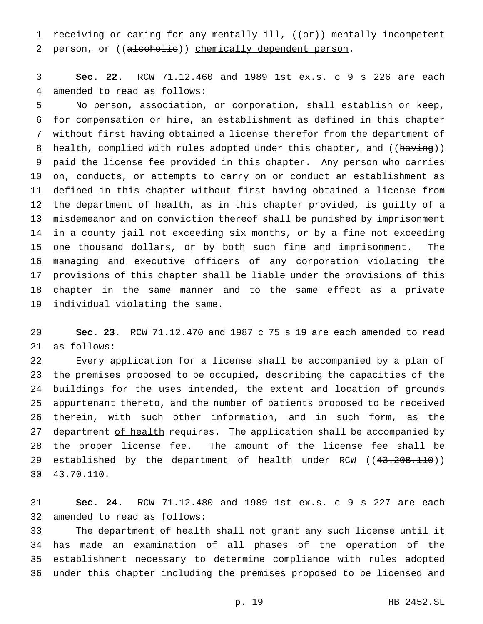1 receiving or caring for any mentally ill,  $((\theta \cdot \mathbf{r}))$  mentally incompetent 2 person, or ((alcoholic)) chemically dependent person.

 **Sec. 22.** RCW 71.12.460 and 1989 1st ex.s. c 9 s 226 are each amended to read as follows:

 No person, association, or corporation, shall establish or keep, for compensation or hire, an establishment as defined in this chapter without first having obtained a license therefor from the department of 8 health, complied with rules adopted under this chapter, and ((having)) paid the license fee provided in this chapter. Any person who carries on, conducts, or attempts to carry on or conduct an establishment as defined in this chapter without first having obtained a license from the department of health, as in this chapter provided, is guilty of a misdemeanor and on conviction thereof shall be punished by imprisonment in a county jail not exceeding six months, or by a fine not exceeding one thousand dollars, or by both such fine and imprisonment. The managing and executive officers of any corporation violating the provisions of this chapter shall be liable under the provisions of this chapter in the same manner and to the same effect as a private individual violating the same.

 **Sec. 23.** RCW 71.12.470 and 1987 c 75 s 19 are each amended to read as follows:

 Every application for a license shall be accompanied by a plan of the premises proposed to be occupied, describing the capacities of the buildings for the uses intended, the extent and location of grounds appurtenant thereto, and the number of patients proposed to be received therein, with such other information, and in such form, as the 27 department of health requires. The application shall be accompanied by the proper license fee. The amount of the license fee shall be 29 established by the department of health under RCW ((43.20B.110)) 43.70.110.

 **Sec. 24.** RCW 71.12.480 and 1989 1st ex.s. c 9 s 227 are each amended to read as follows:

 The department of health shall not grant any such license until it 34 has made an examination of all phases of the operation of the establishment necessary to determine compliance with rules adopted 36 under this chapter including the premises proposed to be licensed and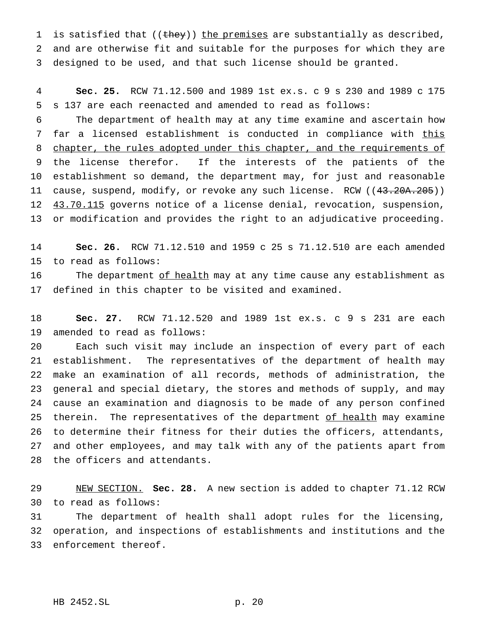1 is satisfied that ((they)) the premises are substantially as described, and are otherwise fit and suitable for the purposes for which they are designed to be used, and that such license should be granted.

 **Sec. 25.** RCW 71.12.500 and 1989 1st ex.s. c 9 s 230 and 1989 c 175 s 137 are each reenacted and amended to read as follows:

 The department of health may at any time examine and ascertain how 7 far a licensed establishment is conducted in compliance with this 8 chapter, the rules adopted under this chapter, and the requirements of the license therefor. If the interests of the patients of the establishment so demand, the department may, for just and reasonable 11 cause, suspend, modify, or revoke any such license. RCW ((43.20A.205)) 12 43.70.115 governs notice of a license denial, revocation, suspension, or modification and provides the right to an adjudicative proceeding.

 **Sec. 26.** RCW 71.12.510 and 1959 c 25 s 71.12.510 are each amended to read as follows:

16 The department of health may at any time cause any establishment as defined in this chapter to be visited and examined.

 **Sec. 27.** RCW 71.12.520 and 1989 1st ex.s. c 9 s 231 are each amended to read as follows:

 Each such visit may include an inspection of every part of each establishment. The representatives of the department of health may make an examination of all records, methods of administration, the general and special dietary, the stores and methods of supply, and may cause an examination and diagnosis to be made of any person confined 25 therein. The representatives of the department of health may examine to determine their fitness for their duties the officers, attendants, and other employees, and may talk with any of the patients apart from the officers and attendants.

 NEW SECTION. **Sec. 28.** A new section is added to chapter 71.12 RCW to read as follows:

 The department of health shall adopt rules for the licensing, operation, and inspections of establishments and institutions and the enforcement thereof.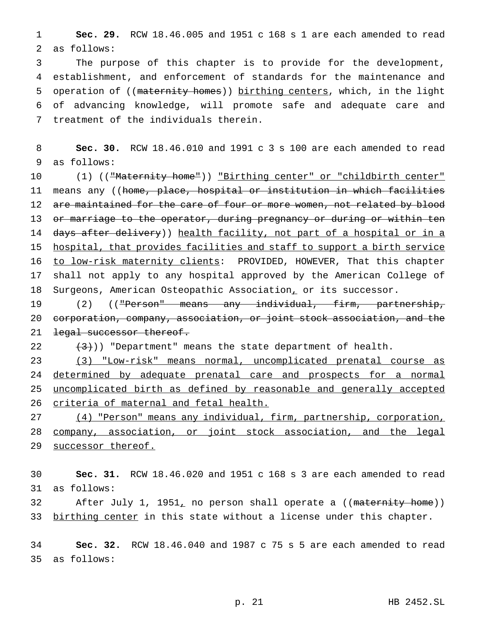**Sec. 29.** RCW 18.46.005 and 1951 c 168 s 1 are each amended to read as follows:

 The purpose of this chapter is to provide for the development, establishment, and enforcement of standards for the maintenance and 5 operation of ((maternity homes)) birthing centers, which, in the light of advancing knowledge, will promote safe and adequate care and treatment of the individuals therein.

 **Sec. 30.** RCW 18.46.010 and 1991 c 3 s 100 are each amended to read as follows:

10 (1) (("Maternity home")) "Birthing center" or "childbirth center" 11 means any ((home, place, hospital or institution in which facilities 12 are maintained for the care of four or more women, not related by blood 13 or marriage to the operator, during pregnancy or during or within ten 14 days after delivery)) health facility, not part of a hospital or in a hospital, that provides facilities and staff to support a birth service to low-risk maternity clients: PROVIDED, HOWEVER, That this chapter shall not apply to any hospital approved by the American College of Surgeons, American Osteopathic Association, or its successor.

 (2) (("Person" means any individual, firm, partnership, 20 corporation, company, association, or joint stock association, and the 21 <del>legal successor thereof.</del>

 $(3)$ )) "Department" means the state department of health.

 (3) "Low-risk" means normal, uncomplicated prenatal course as 24 determined by adequate prenatal care and prospects for a normal uncomplicated birth as defined by reasonable and generally accepted criteria of maternal and fetal health.

 (4) "Person" means any individual, firm, partnership, corporation, company, association, or joint stock association, and the legal 29 successor thereof.

 **Sec. 31.** RCW 18.46.020 and 1951 c 168 s 3 are each amended to read as follows:

32 After July 1, 1951, no person shall operate a ((maternity home)) 33 birthing center in this state without a license under this chapter.

 **Sec. 32.** RCW 18.46.040 and 1987 c 75 s 5 are each amended to read as follows: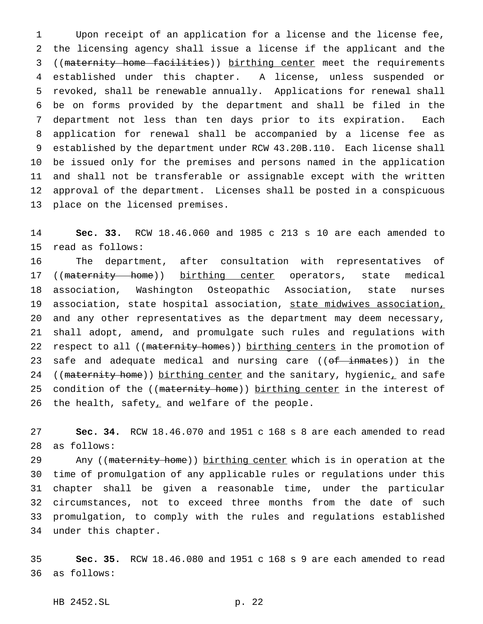Upon receipt of an application for a license and the license fee, the licensing agency shall issue a license if the applicant and the 3 ((maternity home facilities)) birthing center meet the requirements established under this chapter. A license, unless suspended or revoked, shall be renewable annually. Applications for renewal shall be on forms provided by the department and shall be filed in the department not less than ten days prior to its expiration. Each application for renewal shall be accompanied by a license fee as established by the department under RCW 43.20B.110. Each license shall be issued only for the premises and persons named in the application and shall not be transferable or assignable except with the written approval of the department. Licenses shall be posted in a conspicuous place on the licensed premises.

 **Sec. 33.** RCW 18.46.060 and 1985 c 213 s 10 are each amended to read as follows:

 The department, after consultation with representatives of 17 ((maternity home)) birthing center operators, state medical association, Washington Osteopathic Association, state nurses 19 association, state hospital association, state midwives association, and any other representatives as the department may deem necessary, shall adopt, amend, and promulgate such rules and regulations with 22 respect to all ((maternity homes)) birthing centers in the promotion of 23 safe and adequate medical and nursing care ((of inmates)) in the 24 ((maternity home)) birthing center and the sanitary, hygienic, and safe 25 condition of the ((maternity home)) birthing center in the interest of 26 the health, safety<sub> $\perp$ </sub> and welfare of the people.

 **Sec. 34.** RCW 18.46.070 and 1951 c 168 s 8 are each amended to read as follows:

29 Any ((maternity home)) birthing center which is in operation at the time of promulgation of any applicable rules or regulations under this chapter shall be given a reasonable time, under the particular circumstances, not to exceed three months from the date of such promulgation, to comply with the rules and regulations established under this chapter.

 **Sec. 35.** RCW 18.46.080 and 1951 c 168 s 9 are each amended to read as follows:

HB 2452.SL p. 22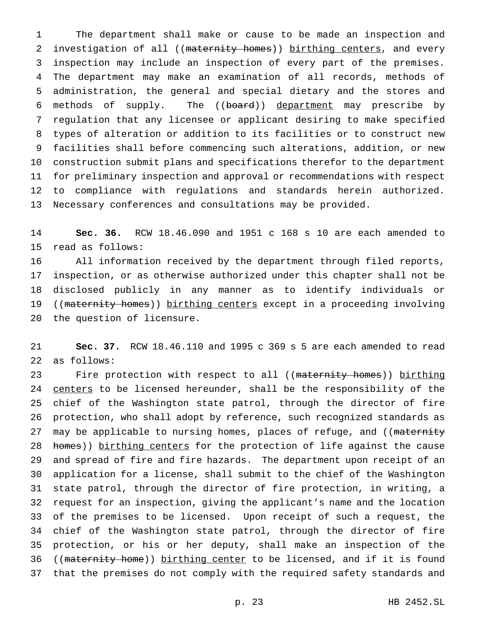The department shall make or cause to be made an inspection and 2 investigation of all ((maternity homes)) birthing centers, and every inspection may include an inspection of every part of the premises. The department may make an examination of all records, methods of administration, the general and special dietary and the stores and methods of supply. The ((board)) department may prescribe by regulation that any licensee or applicant desiring to make specified types of alteration or addition to its facilities or to construct new facilities shall before commencing such alterations, addition, or new construction submit plans and specifications therefor to the department for preliminary inspection and approval or recommendations with respect to compliance with regulations and standards herein authorized. Necessary conferences and consultations may be provided.

 **Sec. 36.** RCW 18.46.090 and 1951 c 168 s 10 are each amended to read as follows:

 All information received by the department through filed reports, inspection, or as otherwise authorized under this chapter shall not be disclosed publicly in any manner as to identify individuals or 19 ((maternity homes)) birthing centers except in a proceeding involving the question of licensure.

 **Sec. 37.** RCW 18.46.110 and 1995 c 369 s 5 are each amended to read as follows:

23 Fire protection with respect to all ((maternity homes)) birthing 24 centers to be licensed hereunder, shall be the responsibility of the chief of the Washington state patrol, through the director of fire protection, who shall adopt by reference, such recognized standards as 27 may be applicable to nursing homes, places of refuge, and ((maternity 28 homes)) birthing centers for the protection of life against the cause and spread of fire and fire hazards. The department upon receipt of an application for a license, shall submit to the chief of the Washington state patrol, through the director of fire protection, in writing, a request for an inspection, giving the applicant's name and the location of the premises to be licensed. Upon receipt of such a request, the chief of the Washington state patrol, through the director of fire protection, or his or her deputy, shall make an inspection of the 36 ((maternity home)) birthing center to be licensed, and if it is found that the premises do not comply with the required safety standards and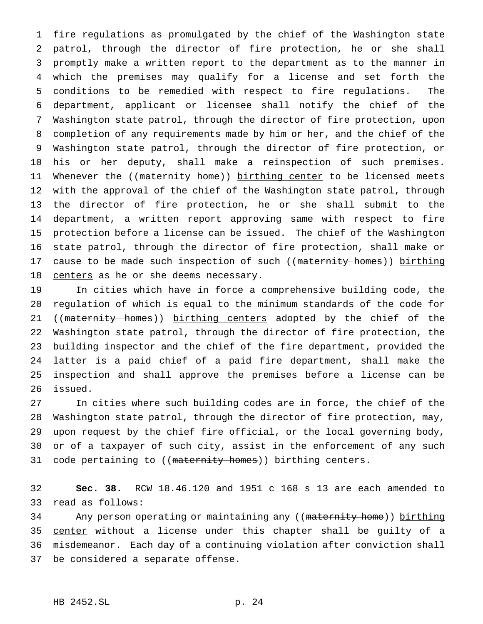fire regulations as promulgated by the chief of the Washington state patrol, through the director of fire protection, he or she shall promptly make a written report to the department as to the manner in which the premises may qualify for a license and set forth the conditions to be remedied with respect to fire regulations. The department, applicant or licensee shall notify the chief of the Washington state patrol, through the director of fire protection, upon completion of any requirements made by him or her, and the chief of the Washington state patrol, through the director of fire protection, or his or her deputy, shall make a reinspection of such premises. 11 Whenever the ((maternity home)) birthing center to be licensed meets with the approval of the chief of the Washington state patrol, through the director of fire protection, he or she shall submit to the department, a written report approving same with respect to fire protection before a license can be issued. The chief of the Washington state patrol, through the director of fire protection, shall make or 17 cause to be made such inspection of such ((maternity homes)) birthing 18 centers as he or she deems necessary.

 In cities which have in force a comprehensive building code, the regulation of which is equal to the minimum standards of the code for 21 ((maternity homes)) birthing centers adopted by the chief of the Washington state patrol, through the director of fire protection, the building inspector and the chief of the fire department, provided the latter is a paid chief of a paid fire department, shall make the inspection and shall approve the premises before a license can be issued.

 In cities where such building codes are in force, the chief of the Washington state patrol, through the director of fire protection, may, upon request by the chief fire official, or the local governing body, or of a taxpayer of such city, assist in the enforcement of any such 31 code pertaining to ((maternity homes)) birthing centers.

 **Sec. 38.** RCW 18.46.120 and 1951 c 168 s 13 are each amended to read as follows:

34 Any person operating or maintaining any ((maternity home)) birthing 35 center without a license under this chapter shall be guilty of a misdemeanor. Each day of a continuing violation after conviction shall be considered a separate offense.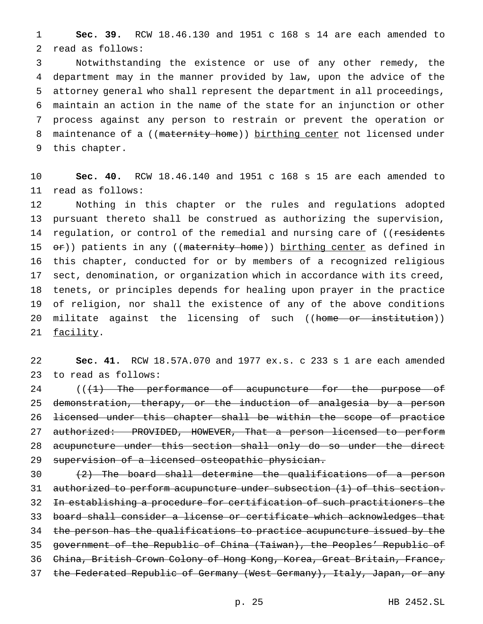**Sec. 39.** RCW 18.46.130 and 1951 c 168 s 14 are each amended to read as follows:

 Notwithstanding the existence or use of any other remedy, the department may in the manner provided by law, upon the advice of the attorney general who shall represent the department in all proceedings, maintain an action in the name of the state for an injunction or other process against any person to restrain or prevent the operation or 8 maintenance of a ((maternity home)) birthing center not licensed under this chapter.

 **Sec. 40.** RCW 18.46.140 and 1951 c 168 s 15 are each amended to read as follows:

 Nothing in this chapter or the rules and regulations adopted pursuant thereto shall be construed as authorizing the supervision, 14 regulation, or control of the remedial and nursing care of ((residents 15 or)) patients in any ((maternity home)) birthing center as defined in this chapter, conducted for or by members of a recognized religious sect, denomination, or organization which in accordance with its creed, tenets, or principles depends for healing upon prayer in the practice of religion, nor shall the existence of any of the above conditions 20 militate against the licensing of such ((<del>home or institution</del>)) 21 facility.

 **Sec. 41.** RCW 18.57A.070 and 1977 ex.s. c 233 s 1 are each amended to read as follows:

24 (( $\{1\}$  The performance of acupuncture for the purpose of 25 demonstration, therapy, or the induction of analgesia by a person licensed under this chapter shall be within the scope of practice authorized: PROVIDED, HOWEVER, That a person licensed to perform 28 acupuncture under this section shall only do so under the direct supervision of a licensed osteopathic physician.

 (2) The board shall determine the qualifications of a person 31 authorized to perform acupuncture under subsection (1) of this section. In establishing a procedure for certification of such practitioners the board shall consider a license or certificate which acknowledges that the person has the qualifications to practice acupuncture issued by the government of the Republic of China (Taiwan), the Peoples' Republic of China, British Crown Colony of Hong Kong, Korea, Great Britain, France, 37 the Federated Republic of Germany (West Germany), Italy, Japan, or any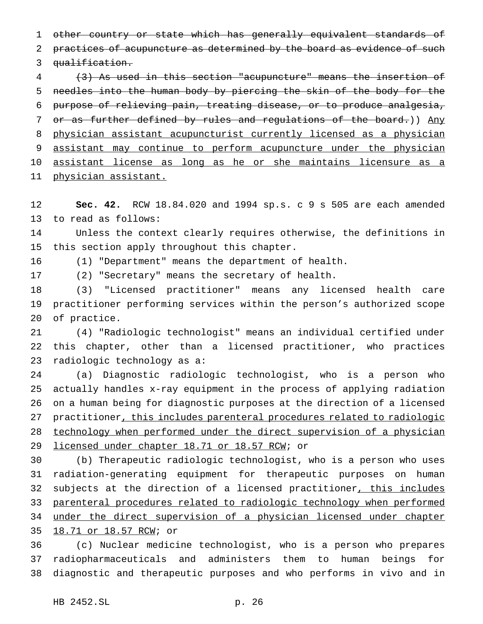other country or state which has generally equivalent standards of 2 practices of acupuncture as determined by the board as evidence of such qualification.

 (3) As used in this section "acupuncture" means the insertion of needles into the human body by piercing the skin of the body for the purpose of relieving pain, treating disease, or to produce analgesia, 7 or as further defined by rules and regulations of the board.)) Any physician assistant acupuncturist currently licensed as a physician 9 assistant may continue to perform acupuncture under the physician assistant license as long as he or she maintains licensure as a physician assistant.

 **Sec. 42.** RCW 18.84.020 and 1994 sp.s. c 9 s 505 are each amended to read as follows:

 Unless the context clearly requires otherwise, the definitions in this section apply throughout this chapter.

(1) "Department" means the department of health.

(2) "Secretary" means the secretary of health.

 (3) "Licensed practitioner" means any licensed health care practitioner performing services within the person's authorized scope of practice.

 (4) "Radiologic technologist" means an individual certified under this chapter, other than a licensed practitioner, who practices radiologic technology as a:

 (a) Diagnostic radiologic technologist, who is a person who actually handles x-ray equipment in the process of applying radiation on a human being for diagnostic purposes at the direction of a licensed practitioner, this includes parenteral procedures related to radiologic technology when performed under the direct supervision of a physician 29 licensed under chapter 18.71 or 18.57 RCW; or

 (b) Therapeutic radiologic technologist, who is a person who uses radiation-generating equipment for therapeutic purposes on human 32 subjects at the direction of a licensed practitioner, this includes parenteral procedures related to radiologic technology when performed under the direct supervision of a physician licensed under chapter 18.71 or 18.57 RCW; or

 (c) Nuclear medicine technologist, who is a person who prepares radiopharmaceuticals and administers them to human beings for diagnostic and therapeutic purposes and who performs in vivo and in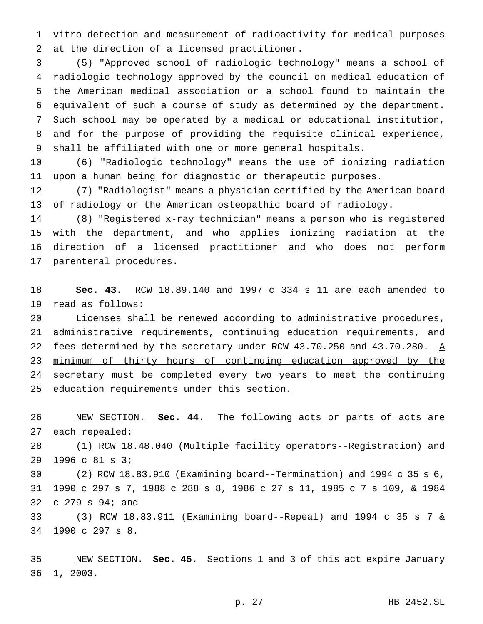vitro detection and measurement of radioactivity for medical purposes at the direction of a licensed practitioner.

 (5) "Approved school of radiologic technology" means a school of radiologic technology approved by the council on medical education of the American medical association or a school found to maintain the equivalent of such a course of study as determined by the department. Such school may be operated by a medical or educational institution, and for the purpose of providing the requisite clinical experience, shall be affiliated with one or more general hospitals.

 (6) "Radiologic technology" means the use of ionizing radiation upon a human being for diagnostic or therapeutic purposes.

 (7) "Radiologist" means a physician certified by the American board of radiology or the American osteopathic board of radiology.

 (8) "Registered x-ray technician" means a person who is registered with the department, and who applies ionizing radiation at the 16 direction of a licensed practitioner and who does not perform 17 parenteral procedures.

 **Sec. 43.** RCW 18.89.140 and 1997 c 334 s 11 are each amended to read as follows:

 Licenses shall be renewed according to administrative procedures, administrative requirements, continuing education requirements, and 22 fees determined by the secretary under RCW 43.70.250 and 43.70.280.  $\underline{A}$  minimum of thirty hours of continuing education approved by the 24 secretary must be completed every two years to meet the continuing education requirements under this section.

 NEW SECTION. **Sec. 44.** The following acts or parts of acts are each repealed:

 (1) RCW 18.48.040 (Multiple facility operators--Registration) and 1996 c 81 s 3;

 (2) RCW 18.83.910 (Examining board--Termination) and 1994 c 35 s 6, 1990 c 297 s 7, 1988 c 288 s 8, 1986 c 27 s 11, 1985 c 7 s 109, & 1984 c 279 s 94; and

 (3) RCW 18.83.911 (Examining board--Repeal) and 1994 c 35 s 7 & 1990 c 297 s 8.

 NEW SECTION. **Sec. 45.** Sections 1 and 3 of this act expire January 1, 2003.